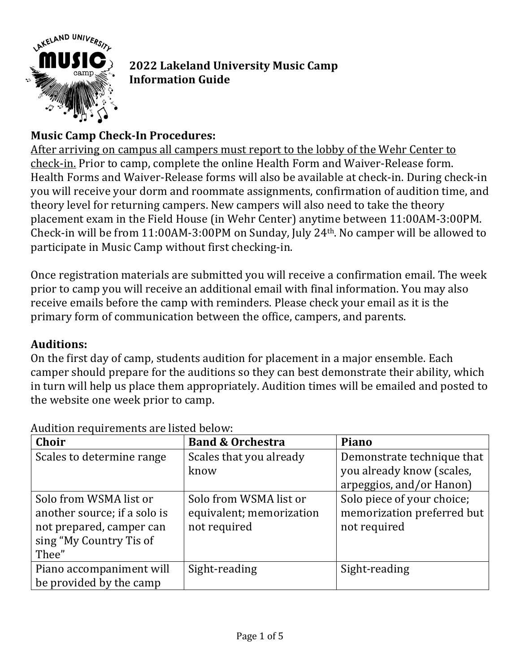

# **2022 Lakeland University Music Camp Information Guide**

## **Music Camp Check-In Procedures:**

After arriving on campus all campers must report to the lobby of the Wehr Center to check-in. Prior to camp, complete the online Health Form and Waiver-Release form. Health Forms and Waiver-Release forms will also be available at check-in. During check-in you will receive your dorm and roommate assignments, confirmation of audition time, and theory level for returning campers. New campers will also need to take the theory placement exam in the Field House (in Wehr Center) anytime between 11:00AM-3:00PM. Check-in will be from  $11:00$ AM-3:00PM on Sunday, July 24<sup>th</sup>. No camper will be allowed to participate in Music Camp without first checking-in.

Once registration materials are submitted you will receive a confirmation email. The week prior to camp you will receive an additional email with final information. You may also receive emails before the camp with reminders. Please check your email as it is the primary form of communication between the office, campers, and parents.

#### **Auditions:**

On the first day of camp, students audition for placement in a major ensemble. Each camper should prepare for the auditions so they can best demonstrate their ability, which in turn will help us place them appropriately. Audition times will be emailed and posted to the website one week prior to camp.

| Choir                                                                                                                  | <b>Band &amp; Orchestra</b>                                        | Piano                                                                    |
|------------------------------------------------------------------------------------------------------------------------|--------------------------------------------------------------------|--------------------------------------------------------------------------|
| Scales to determine range                                                                                              | Scales that you already<br>know                                    | Demonstrate technique that<br>you already know (scales,                  |
|                                                                                                                        |                                                                    | arpeggios, and/or Hanon)                                                 |
| Solo from WSMA list or<br>another source; if a solo is<br>not prepared, camper can<br>sing "My Country Tis of<br>Thee" | Solo from WSMA list or<br>equivalent; memorization<br>not required | Solo piece of your choice;<br>memorization preferred but<br>not required |
| Piano accompaniment will<br>be provided by the camp                                                                    | Sight-reading                                                      | Sight-reading                                                            |

Audition requirements are listed helow: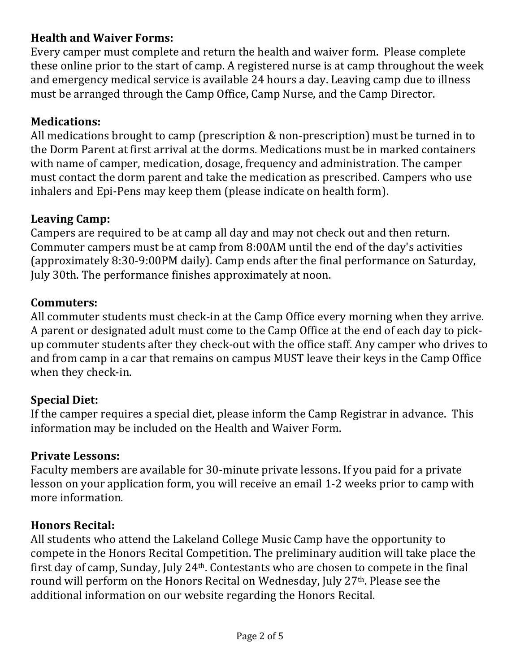### **Health and Waiver Forms:**

Every camper must complete and return the health and waiver form. Please complete these online prior to the start of camp. A registered nurse is at camp throughout the week and emergency medical service is available 24 hours a day. Leaving camp due to illness must be arranged through the Camp Office, Camp Nurse, and the Camp Director.

### **Medications:**

All medications brought to camp (prescription  $&$  non-prescription) must be turned in to the Dorm Parent at first arrival at the dorms. Medications must be in marked containers with name of camper, medication, dosage, frequency and administration. The camper must contact the dorm parent and take the medication as prescribed. Campers who use inhalers and Epi-Pens may keep them (please indicate on health form).

### Leaving Camp:

Campers are required to be at camp all day and may not check out and then return. Commuter campers must be at camp from 8:00AM until the end of the day's activities (approximately 8:30-9:00PM daily). Camp ends after the final performance on Saturday, July 30th. The performance finishes approximately at noon.

#### **Commuters:**

All commuter students must check-in at the Camp Office every morning when they arrive. A parent or designated adult must come to the Camp Office at the end of each day to pickup commuter students after they check-out with the office staff. Any camper who drives to and from camp in a car that remains on campus MUST leave their keys in the Camp Office when they check-in.

#### **Special Diet:**

If the camper requires a special diet, please inform the Camp Registrar in advance. This information may be included on the Health and Waiver Form.

#### **Private Lessons:**

Faculty members are available for 30-minute private lessons. If you paid for a private lesson on your application form, you will receive an email 1-2 weeks prior to camp with more information.

#### **Honors Recital:**

All students who attend the Lakeland College Music Camp have the opportunity to compete in the Honors Recital Competition. The preliminary audition will take place the first day of camp, Sunday, July 24<sup>th</sup>. Contestants who are chosen to compete in the final round will perform on the Honors Recital on Wednesday, July 27<sup>th</sup>. Please see the additional information on our website regarding the Honors Recital.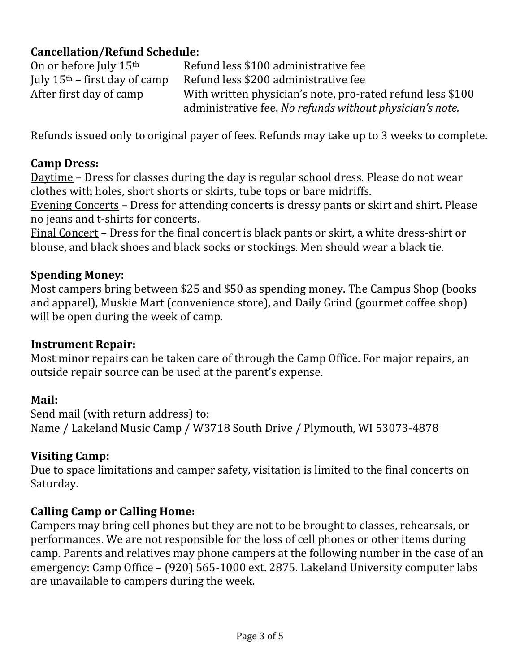# **Cancellation/Refund Schedule:**

On or before July  $15<sup>th</sup>$  Refund less \$100 administrative fee July  $15<sup>th</sup>$  – first day of camp Refund less \$200 administrative fee After first day of camp With written physician's note, pro-rated refund less \$100 administrative fee. No refunds without physician's note.

Refunds issued only to original payer of fees. Refunds may take up to 3 weeks to complete.

### **Camp Dress:**

Daytime – Dress for classes during the day is regular school dress. Please do not wear clothes with holes, short shorts or skirts, tube tops or bare midriffs.

Evening Concerts – Dress for attending concerts is dressy pants or skirt and shirt. Please no jeans and t-shirts for concerts.

Final Concert – Dress for the final concert is black pants or skirt, a white dress-shirt or blouse, and black shoes and black socks or stockings. Men should wear a black tie.

#### **Spending Money:**

Most campers bring between \$25 and \$50 as spending money. The Campus Shop (books and apparel), Muskie Mart (convenience store), and Daily Grind (gourmet coffee shop) will be open during the week of camp.

#### **Instrument Repair:**

Most minor repairs can be taken care of through the Camp Office. For major repairs, an outside repair source can be used at the parent's expense.

#### **Mail:**

Send mail (with return address) to: Name / Lakeland Music Camp / W3718 South Drive / Plymouth, WI 53073-4878

#### **Visiting Camp:**

Due to space limitations and camper safety, visitation is limited to the final concerts on Saturday. 

#### **Calling Camp or Calling Home:**

Campers may bring cell phones but they are not to be brought to classes, rehearsals, or performances. We are not responsible for the loss of cell phones or other items during camp. Parents and relatives may phone campers at the following number in the case of an emergency: Camp Office - (920) 565-1000 ext. 2875. Lakeland University computer labs are unavailable to campers during the week.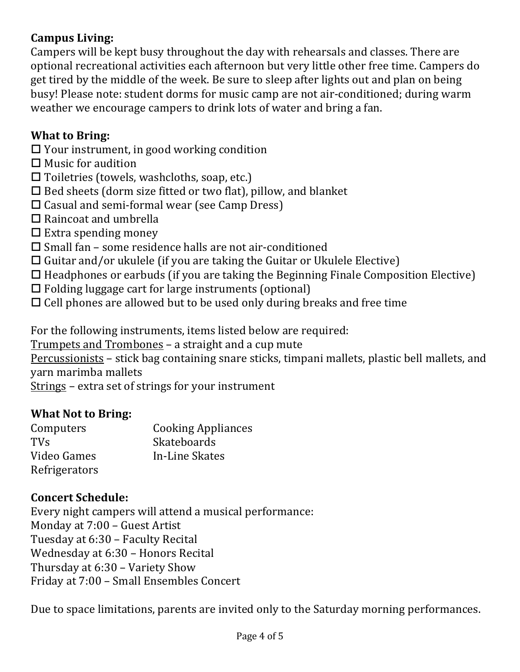### **Campus Living:**

Campers will be kept busy throughout the day with rehearsals and classes. There are optional recreational activities each afternoon but very little other free time. Campers do get tired by the middle of the week. Be sure to sleep after lights out and plan on being busy! Please note: student dorms for music camp are not air-conditioned; during warm weather we encourage campers to drink lots of water and bring a fan.

#### **What to Bring:**

- $\Box$  Your instrument, in good working condition
- $\Box$  Music for audition
- $\square$  Toiletries (towels, washcloths, soap, etc.)
- $\Box$  Bed sheets (dorm size fitted or two flat), pillow, and blanket
- $\square$  Casual and semi-formal wear (see Camp Dress)
- $\Box$  Raincoat and umbrella
- $\Box$  Extra spending money
- $\square$  Small fan some residence halls are not air-conditioned
- $\Box$  Guitar and/or ukulele (if you are taking the Guitar or Ukulele Elective)
- $\Box$  Headphones or earbuds (if you are taking the Beginning Finale Composition Elective)
- $\Box$  Folding luggage cart for large instruments (optional)
- $\Box$  Cell phones are allowed but to be used only during breaks and free time

For the following instruments, items listed below are required:

Trumpets and Trombones - a straight and a cup mute

Percussionists – stick bag containing snare sticks, timpani mallets, plastic bell mallets, and yarn marimba mallets

Strings - extra set of strings for your instrument

#### **What Not to Bring:**

| Computers     | <b>Cooking Appliances</b> |
|---------------|---------------------------|
| <b>TVs</b>    | <b>Skateboards</b>        |
| Video Games   | In-Line Skates            |
| Refrigerators |                           |

#### **Concert Schedule:**

Every night campers will attend a musical performance: Monday at 7:00 - Guest Artist Tuesday at 6:30 - Faculty Recital Wednesday at 6:30 - Honors Recital Thursday at 6:30 – Variety Show Friday at 7:00 - Small Ensembles Concert

Due to space limitations, parents are invited only to the Saturday morning performances.